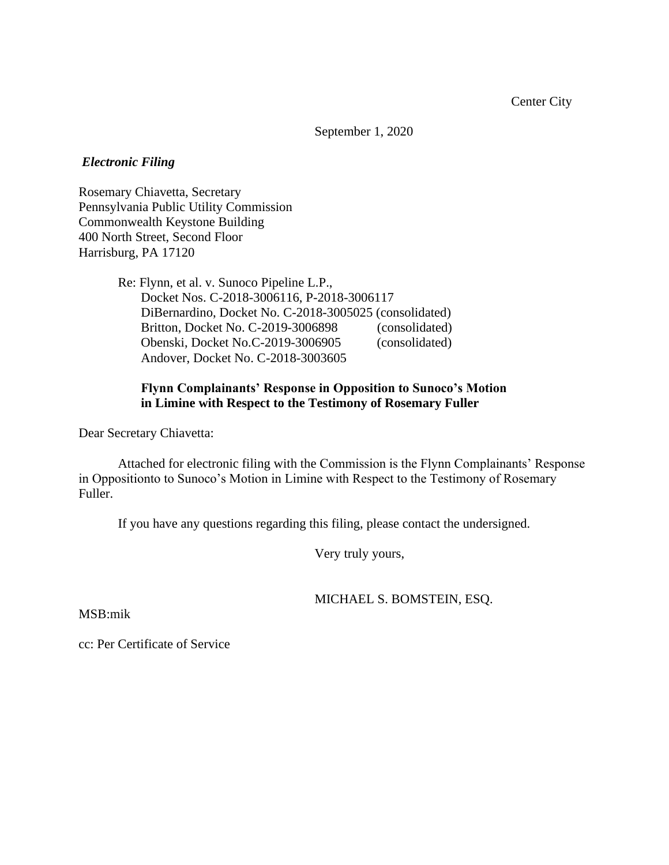September 1, 2020

## *Electronic Filing*

Rosemary Chiavetta, Secretary Pennsylvania Public Utility Commission Commonwealth Keystone Building 400 North Street, Second Floor Harrisburg, PA 17120

> Re: Flynn, et al. v. Sunoco Pipeline L.P., Docket Nos. C-2018-3006116, P-2018-3006117 DiBernardino, Docket No. C-2018-3005025 (consolidated) Britton, Docket No. C-2019-3006898 (consolidated) Obenski, Docket No.C-2019-3006905 (consolidated) Andover, Docket No. C-2018-3003605

# **Flynn Complainants' Response in Opposition to Sunoco's Motion in Limine with Respect to the Testimony of Rosemary Fuller**

Dear Secretary Chiavetta:

Attached for electronic filing with the Commission is the Flynn Complainants' Response in Oppositionto to Sunoco's Motion in Limine with Respect to the Testimony of Rosemary Fuller.

If you have any questions regarding this filing, please contact the undersigned.

Very truly yours,

MICHAEL S. BOMSTEIN, ESQ.

MSB:mik

cc: Per Certificate of Service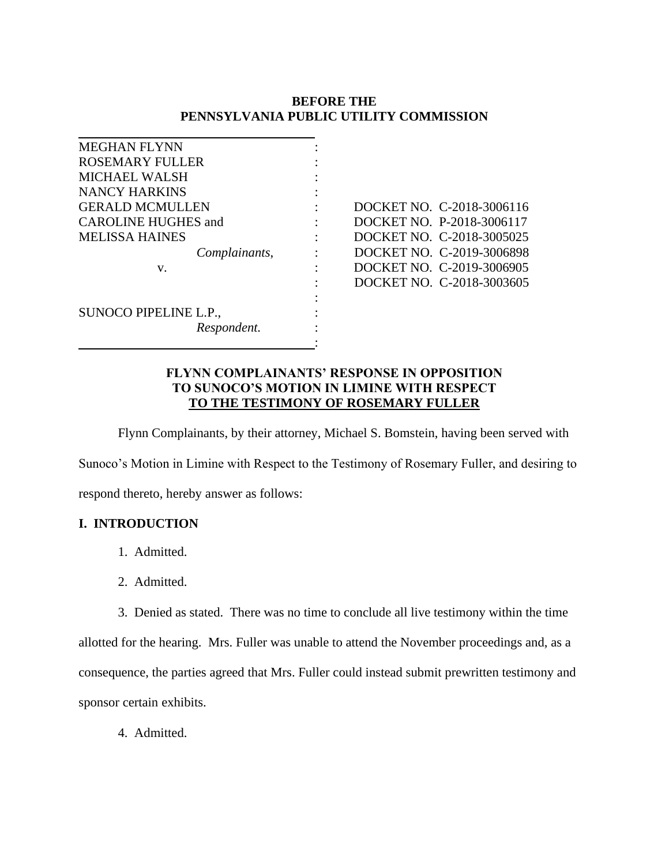# **BEFORE THE PENNSYLVANIA PUBLIC UTILITY COMMISSION**

| <b>MEGHAN FLYNN</b>        |                           |
|----------------------------|---------------------------|
| ROSEMARY FULLER            |                           |
| <b>MICHAEL WALSH</b>       |                           |
| NANCY HARKINS              |                           |
| <b>GERALD MCMULLEN</b>     | DOCKET NO. C-2018-3006116 |
| <b>CAROLINE HUGHES and</b> | DOCKET NO. P-2018-3006117 |
| <b>MELISSA HAINES</b>      | DOCKET NO. C-2018-3005025 |
| Complainants,              | DOCKET NO. C-2019-3006898 |
| v.                         | DOCKET NO. C-2019-3006905 |
|                            | DOCKET NO. C-2018-3003605 |
|                            |                           |
| SUNOCO PIPELINE L.P.,      |                           |
| Respondent.                |                           |
|                            |                           |

## **FLYNN COMPLAINANTS' RESPONSE IN OPPOSITION TO SUNOCO'S MOTION IN LIMINE WITH RESPECT TO THE TESTIMONY OF ROSEMARY FULLER**

Flynn Complainants, by their attorney, Michael S. Bomstein, having been served with

Sunoco's Motion in Limine with Respect to the Testimony of Rosemary Fuller, and desiring to

respond thereto, hereby answer as follows:

# **I. INTRODUCTION**

- 1. Admitted.
- 2. Admitted.
- 3. Denied as stated. There was no time to conclude all live testimony within the time

allotted for the hearing. Mrs. Fuller was unable to attend the November proceedings and, as a consequence, the parties agreed that Mrs. Fuller could instead submit prewritten testimony and sponsor certain exhibits.

4. Admitted.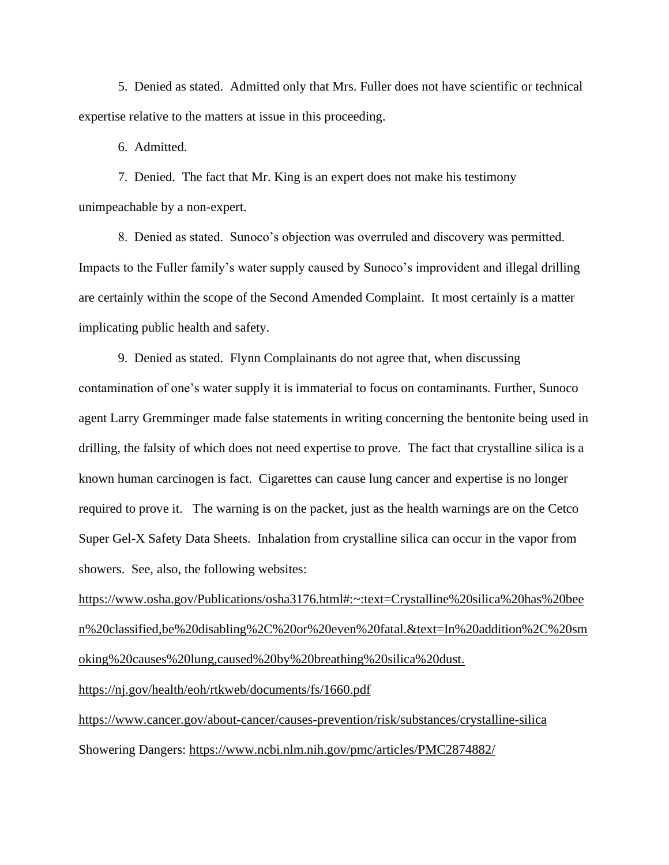5. Denied as stated. Admitted only that Mrs. Fuller does not have scientific or technical expertise relative to the matters at issue in this proceeding.

6. Admitted.

7. Denied. The fact that Mr. King is an expert does not make his testimony unimpeachable by a non-expert.

8. Denied as stated. Sunoco's objection was overruled and discovery was permitted. Impacts to the Fuller family's water supply caused by Sunoco's improvident and illegal drilling are certainly within the scope of the Second Amended Complaint. It most certainly is a matter implicating public health and safety.

9. Denied as stated. Flynn Complainants do not agree that, when discussing contamination of one's water supply it is immaterial to focus on contaminants. Further, Sunoco agent Larry Gremminger made false statements in writing concerning the bentonite being used in drilling, the falsity of which does not need expertise to prove. The fact that crystalline silica is a known human carcinogen is fact. Cigarettes can cause lung cancer and expertise is no longer required to prove it. The warning is on the packet, just as the health warnings are on the Cetco Super Gel-X Safety Data Sheets. Inhalation from crystalline silica can occur in the vapor from showers. See, also, the following websites:

[https://www.osha.gov/Publications/osha3176.html#:~:text=Crystalline%20silica%20has%20bee](about:blank#:~:text=Crystalline%20silica%20has%20been%20classified,be%20disabling%2C%20or%20even%20fatal.&text=In%20addition%2C%20smoking%20causes%20lung,caused%20by%20breathing%20silica%20dust.) [n%20classified,be%20disabling%2C%20or%20even%20fatal.&text=In%20addition%2C%20sm](about:blank#:~:text=Crystalline%20silica%20has%20been%20classified,be%20disabling%2C%20or%20even%20fatal.&text=In%20addition%2C%20smoking%20causes%20lung,caused%20by%20breathing%20silica%20dust.) [oking%20causes%20lung,caused%20by%20breathing%20silica%20dust.](about:blank#:~:text=Crystalline%20silica%20has%20been%20classified,be%20disabling%2C%20or%20even%20fatal.&text=In%20addition%2C%20smoking%20causes%20lung,caused%20by%20breathing%20silica%20dust.)

[https://nj.gov/health/eoh/rtkweb/documents/fs/1660.pdf](about:blank)

[https://www.cancer.gov/about-cancer/causes-prevention/risk/substances/crystalline-silica](about:blank) Showering Dangers: [https://www.ncbi.nlm.nih.gov/pmc/articles/PMC2874882/](about:blank)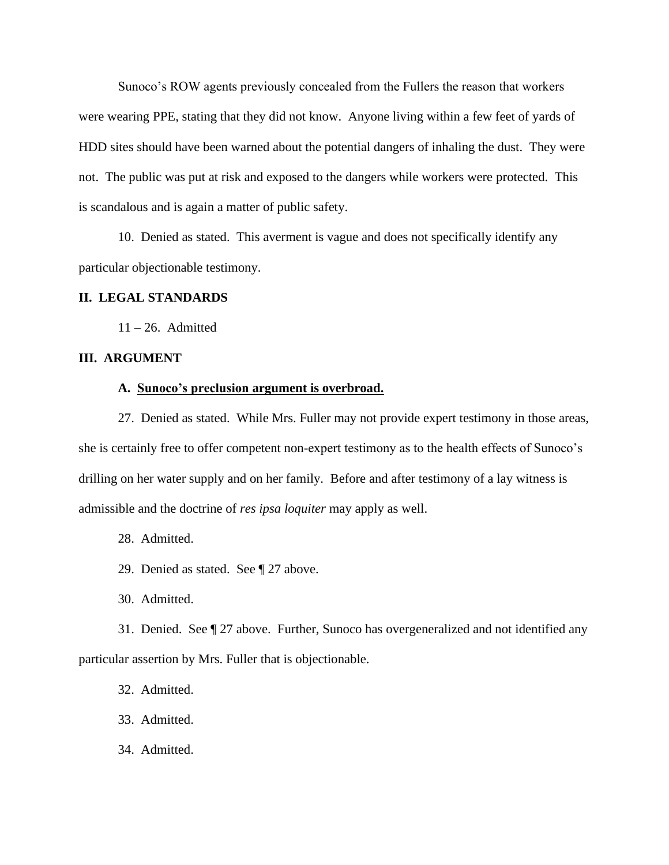Sunoco's ROW agents previously concealed from the Fullers the reason that workers were wearing PPE, stating that they did not know. Anyone living within a few feet of yards of HDD sites should have been warned about the potential dangers of inhaling the dust. They were not. The public was put at risk and exposed to the dangers while workers were protected. This is scandalous and is again a matter of public safety.

10. Denied as stated. This averment is vague and does not specifically identify any particular objectionable testimony.

## **II. LEGAL STANDARDS**

 $11 - 26$ . Admitted

## **III. ARGUMENT**

## **A. Sunoco's preclusion argument is overbroad.**

27. Denied as stated. While Mrs. Fuller may not provide expert testimony in those areas, she is certainly free to offer competent non-expert testimony as to the health effects of Sunoco's drilling on her water supply and on her family. Before and after testimony of a lay witness is admissible and the doctrine of *res ipsa loquiter* may apply as well.

- 28. Admitted.
- 29. Denied as stated. See ¶ 27 above.
- 30. Admitted.

31. Denied. See ¶ 27 above. Further, Sunoco has overgeneralized and not identified any particular assertion by Mrs. Fuller that is objectionable.

- 32. Admitted.
- 33. Admitted.
- 34. Admitted.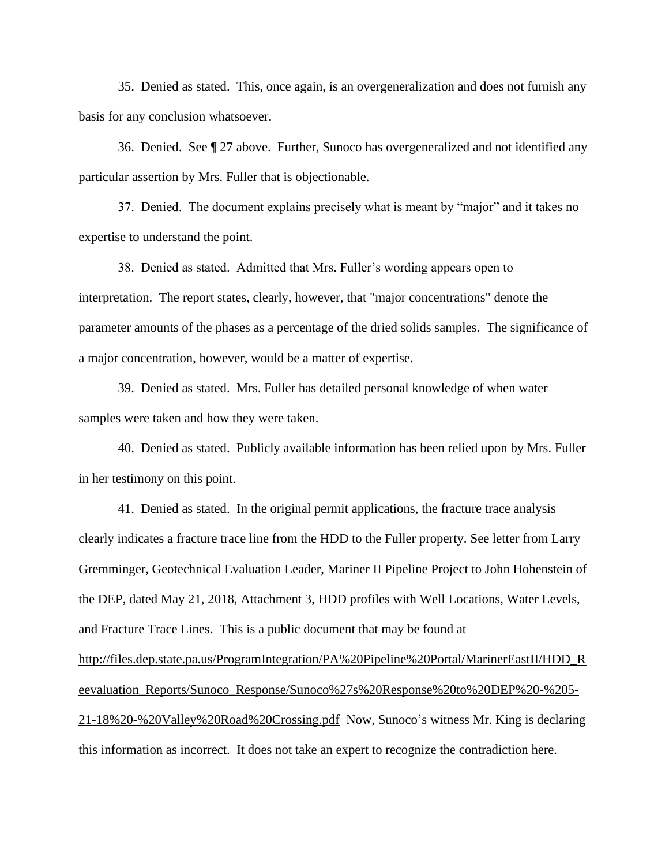35. Denied as stated. This, once again, is an overgeneralization and does not furnish any basis for any conclusion whatsoever.

36. Denied. See ¶ 27 above. Further, Sunoco has overgeneralized and not identified any particular assertion by Mrs. Fuller that is objectionable.

37. Denied. The document explains precisely what is meant by "major" and it takes no expertise to understand the point.

38. Denied as stated. Admitted that Mrs. Fuller's wording appears open to interpretation. The report states, clearly, however, that "major concentrations" denote the parameter amounts of the phases as a percentage of the dried solids samples. The significance of a major concentration, however, would be a matter of expertise.

39. Denied as stated. Mrs. Fuller has detailed personal knowledge of when water samples were taken and how they were taken.

40. Denied as stated. Publicly available information has been relied upon by Mrs. Fuller in her testimony on this point.

41. Denied as stated. In the original permit applications, the fracture trace analysis clearly indicates a fracture trace line from the HDD to the Fuller property. See letter from Larry Gremminger, Geotechnical Evaluation Leader, Mariner II Pipeline Project to John Hohenstein of the DEP, dated May 21, 2018, Attachment 3, HDD profiles with Well Locations, Water Levels, and Fracture Trace Lines. This is a public document that may be found at [http://files.dep.state.pa.us/ProgramIntegration/PA%20Pipeline%20Portal/MarinerEastII/HDD\\_R](about:blank) [eevaluation\\_Reports/Sunoco\\_Response/Sunoco%27s%20Response%20to%20DEP%20-%205-](about:blank) [21-18%20-%20Valley%20Road%20Crossing.pdf](about:blank) Now, Sunoco's witness Mr. King is declaring this information as incorrect. It does not take an expert to recognize the contradiction here.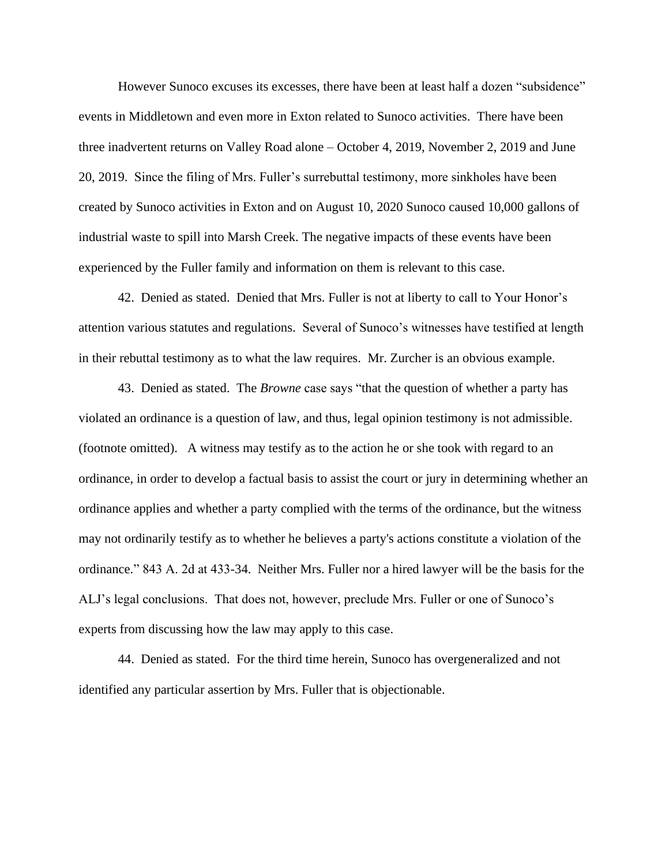However Sunoco excuses its excesses, there have been at least half a dozen "subsidence" events in Middletown and even more in Exton related to Sunoco activities. There have been three inadvertent returns on Valley Road alone – October 4, 2019, November 2, 2019 and June 20, 2019. Since the filing of Mrs. Fuller's surrebuttal testimony, more sinkholes have been created by Sunoco activities in Exton and on August 10, 2020 Sunoco caused 10,000 gallons of industrial waste to spill into Marsh Creek. The negative impacts of these events have been experienced by the Fuller family and information on them is relevant to this case.

42. Denied as stated. Denied that Mrs. Fuller is not at liberty to call to Your Honor's attention various statutes and regulations. Several of Sunoco's witnesses have testified at length in their rebuttal testimony as to what the law requires. Mr. Zurcher is an obvious example.

43. Denied as stated. The *Browne* case says "that the question of whether a party has violated an ordinance is a question of law, and thus, legal opinion testimony is not admissible. (footnote omitted). A witness may testify as to the action he or she took with regard to an ordinance, in order to develop a factual basis to assist the court or jury in determining whether an ordinance applies and whether a party complied with the terms of the ordinance, but the witness may not ordinarily testify as to whether he believes a party's actions constitute a violation of the ordinance." 843 A. 2d at 433-34. Neither Mrs. Fuller nor a hired lawyer will be the basis for the ALJ's legal conclusions. That does not, however, preclude Mrs. Fuller or one of Sunoco's experts from discussing how the law may apply to this case.

44. Denied as stated. For the third time herein, Sunoco has overgeneralized and not identified any particular assertion by Mrs. Fuller that is objectionable.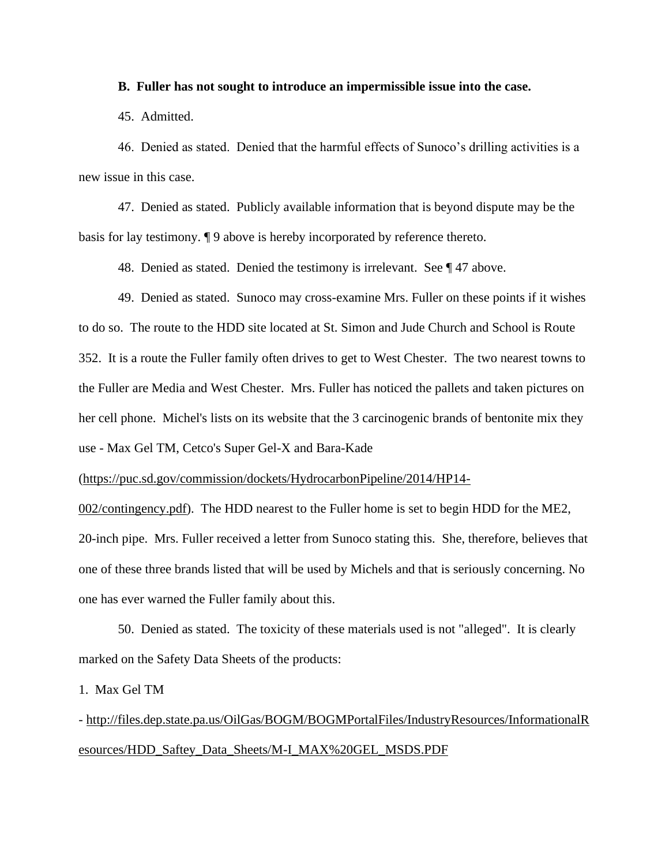### **B. Fuller has not sought to introduce an impermissible issue into the case.**

45. Admitted.

46. Denied as stated. Denied that the harmful effects of Sunoco's drilling activities is a new issue in this case.

47. Denied as stated. Publicly available information that is beyond dispute may be the basis for lay testimony. ¶ 9 above is hereby incorporated by reference thereto.

48. Denied as stated. Denied the testimony is irrelevant. See ¶ 47 above.

49. Denied as stated. Sunoco may cross-examine Mrs. Fuller on these points if it wishes to do so. The route to the HDD site located at St. Simon and Jude Church and School is Route 352. It is a route the Fuller family often drives to get to West Chester. The two nearest towns to the Fuller are Media and West Chester. Mrs. Fuller has noticed the pallets and taken pictures on her cell phone. Michel's lists on its website that the 3 carcinogenic brands of bentonite mix they use - Max Gel TM, Cetco's Super Gel-X and Bara-Kade

[\(https://puc.sd.gov/commission/dockets/HydrocarbonPipeline/2014/HP14-](about:blank)

[002/contingency.pdf\)](about:blank). The HDD nearest to the Fuller home is set to begin HDD for the ME2, 20-inch pipe. Mrs. Fuller received a letter from Sunoco stating this. She, therefore, believes that one of these three brands listed that will be used by Michels and that is seriously concerning. No one has ever warned the Fuller family about this.

50. Denied as stated. The toxicity of these materials used is not "alleged". It is clearly marked on the Safety Data Sheets of the products:

1. Max Gel TM

- http://files.dep.state.pa.us/OilGas/BOGM/BOGMPortalFiles/IndustryResources/InformationalR esources/HDD\_Saftey\_Data\_Sheets/M-I\_MAX%20GEL\_MSDS.PDF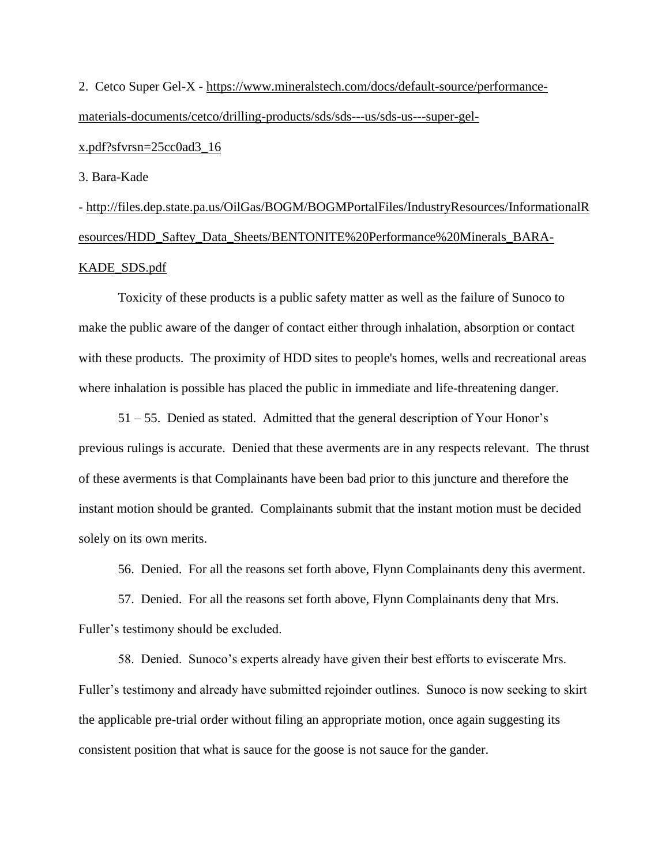2. Cetco Super Gel-X - [https://www.mineralstech.com/docs/default-source/performance](about:blank)[materials-documents/cetco/drilling-products/sds/sds---us/sds-us---super-gel-](about:blank)

## [x.pdf?sfvrsn=25cc0ad3\\_16](about:blank)

3. Bara-Kade

- http://files.dep.state.pa.us/OilGas/BOGM/BOGMPortalFiles/IndustryResources/InformationalR esources/HDD\_Saftey\_Data\_Sheets/BENTONITE%20Performance%20Minerals\_BARA-KADE\_SDS.pdf

Toxicity of these products is a public safety matter as well as the failure of Sunoco to make the public aware of the danger of contact either through inhalation, absorption or contact with these products. The proximity of HDD sites to people's homes, wells and recreational areas where inhalation is possible has placed the public in immediate and life-threatening danger.

51 – 55. Denied as stated. Admitted that the general description of Your Honor's previous rulings is accurate. Denied that these averments are in any respects relevant. The thrust of these averments is that Complainants have been bad prior to this juncture and therefore the instant motion should be granted. Complainants submit that the instant motion must be decided solely on its own merits.

56. Denied. For all the reasons set forth above, Flynn Complainants deny this averment.

57. Denied. For all the reasons set forth above, Flynn Complainants deny that Mrs. Fuller's testimony should be excluded.

58. Denied. Sunoco's experts already have given their best efforts to eviscerate Mrs. Fuller's testimony and already have submitted rejoinder outlines. Sunoco is now seeking to skirt the applicable pre-trial order without filing an appropriate motion, once again suggesting its consistent position that what is sauce for the goose is not sauce for the gander.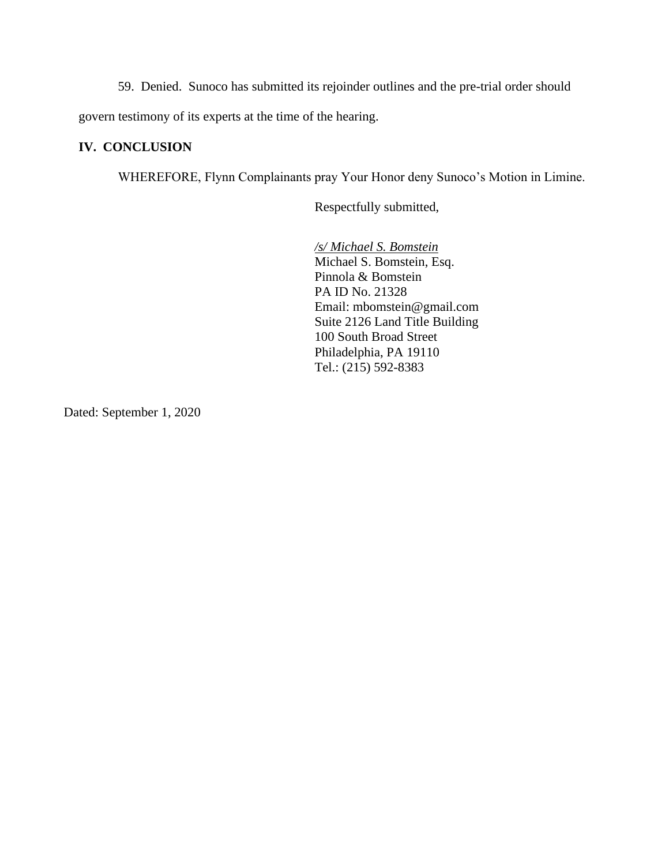59. Denied. Sunoco has submitted its rejoinder outlines and the pre-trial order should

govern testimony of its experts at the time of the hearing.

## **IV. CONCLUSION**

WHEREFORE, Flynn Complainants pray Your Honor deny Sunoco's Motion in Limine.

Respectfully submitted,

*/s/ Michael S. Bomstein* Michael S. Bomstein, Esq. Pinnola & Bomstein PA ID No. 21328 Email: mbomstein@gmail.com Suite 2126 Land Title Building 100 South Broad Street Philadelphia, PA 19110 Tel.: (215) 592-8383

Dated: September 1, 2020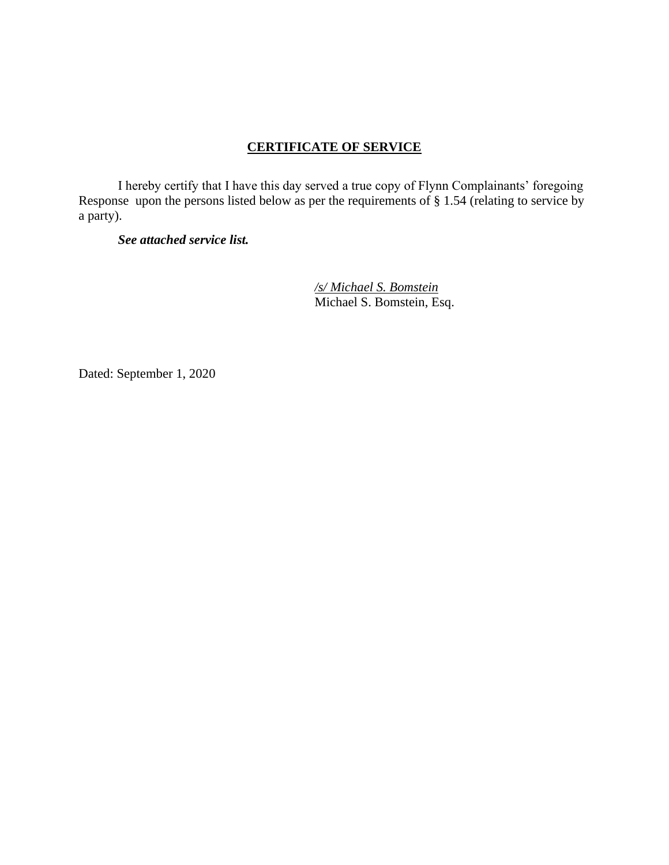# **CERTIFICATE OF SERVICE**

I hereby certify that I have this day served a true copy of Flynn Complainants' foregoing Response upon the persons listed below as per the requirements of § 1.54 (relating to service by a party).

## *See attached service list.*

*/s/ Michael S. Bomstein* Michael S. Bomstein, Esq.

Dated: September 1, 2020